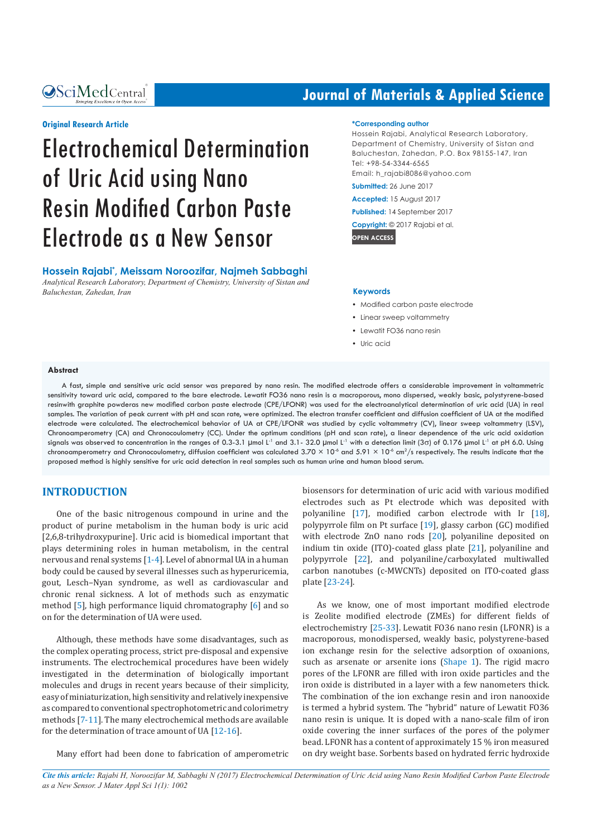**OSciMedCentral** 

# **Journal of Materials & Applied Science**

#### **Original Research Article**

# Electrochemical Determination of Uric Acid using Nano Resin Modified Carbon Paste Electrode as a New Sensor

**Hossein Rajabi\* , Meissam Noroozifar, Najmeh Sabbaghi**

*Analytical Research Laboratory, Department of Chemistry, University of Sistan and Baluchestan, Zahedan, Iran*

#### **\*Corresponding author**

Hossein Rajabi, Analytical Research Laboratory, Department of Chemistry, University of Sistan and Baluchestan, Zahedan, P.O. Box 98155-147, Iran Tel: +98-54-3344-6565 Email: [h\\_rajabi8086@yahoo.com](mailto:h_rajabi8086@yahoo.com) 

**Submitted:** 26 June 2017

**Accepted:** 15 August 2017

**Published:** 14 September 2017

**Copyright:** © 2017 Rajabi et al.

**OPEN ACCESS**

#### **Keywords**

- Modified carbon paste electrode
- Linear sweep voltammetry
- Lewatit FO36 nano resin
- Uric acid

#### **Abstract**

A fast, simple and sensitive uric acid sensor was prepared by nano resin. The modified electrode offers a considerable improvement in voltammetric sensitivity toward uric acid, compared to the bare electrode. Lewatit FO36 nano resin is a macroporous, mono dispersed, weakly basic, polystyrene-based resinwith graphite powderas new modified carbon paste electrode (CPE/LFONR) was used for the electroanalytical determination of uric acid (UA) in real samples. The variation of peak current with pH and scan rate, were optimized. The electron transfer coefficient and diffusion coefficient of UA at the modified electrode were calculated. The electrochemical behavior of UA at CPE/LFONR was studied by cyclic voltammetry (CV), linear sweep voltammetry (LSV), Chronoamperometry (CA) and Chronocoulometry (CC). Under the optimum conditions (pH and scan rate), a linear dependence of the uric acid oxidation signals was observed to concentration in the ranges of 0.3-3.1 µmol L<sup>-1</sup> and 3.1- 32.0 µmol L<sup>-1</sup> with a detection limit (3c) of 0.176 µmol L<sup>-1</sup> at pH 6.0. Using chronoamperometry and Chronocoulometry, diffusion coefficient was calculated 3.70  $\times$  10<sup>-6</sup> and 5.91  $\times$  10<sup>-6</sup> cm<sup>2</sup>/s respectively. The results indicate that the proposed method is highly sensitive for uric acid detection in real samples such as human urine and human blood serum.

#### **INTRODUCTION**

One of the basic nitrogenous compound in urine and the product of purine metabolism in the human body is uric acid [2,6,8-trihydroxypurine]. Uric acid is biomedical important that plays determining roles in human metabolism, in the central nervous and renal systems [1-4]. Level of abnormal UA in a human body could be caused by several illnesses such as hyperuricemia, gout, Lesch–Nyan syndrome, as well as cardiovascular and chronic renal sickness. A lot of methods such as enzymatic method [5], high performance liquid chromatography [6] and so on for the determination of UA were used.

Although, these methods have some disadvantages, such as the complex operating process, strict pre-disposal and expensive instruments. The electrochemical procedures have been widely investigated in the determination of biologically important molecules and drugs in recent years because of their simplicity, easy of miniaturization, high sensitivity and relatively inexpensive as compared to conventional spectrophotometric and colorimetry methods [7-11]. The many electrochemical methods are available for the determination of trace amount of UA [12-16].

Many effort had been done to fabrication of amperometric

biosensors for determination of uric acid with various modified electrodes such as Pt electrode which was deposited with polyaniline [17], modified carbon electrode with Ir [18], polypyrrole film on Pt surface [19], glassy carbon (GC) modified with electrode ZnO nano rods [20], polyaniline deposited on indium tin oxide (ITO)-coated glass plate [21], polyaniline and polypyrrole [22], and polyaniline/carboxylated multiwalled carbon nanotubes (c-MWCNTs) deposited on ITO-coated glass plate [23-24].

As we know, one of most important modified electrode is Zeolite modified electrode (ZMEs) for different fields of electrochemistry [25-33]. Lewatit FO36 nano resin (LFONR) is a macroporous, monodispersed, weakly basic, polystyrene-based ion exchange resin for the selective adsorption of oxoanions, such as arsenate or arsenite ions (Shape 1). The rigid macro pores of the LFONR are filled with iron oxide particles and the iron oxide is distributed in a layer with a few nanometers thick. The combination of the ion exchange resin and iron nanooxide is termed a hybrid system. The "hybrid" nature of Lewatit FO36 nano resin is unique. It is doped with a nano-scale film of iron oxide covering the inner surfaces of the pores of the polymer bead. LFONR has a content of approximately 15 % iron measured on dry weight base. Sorbents based on hydrated ferric hydroxide

*Cite this article: Rajabi H, Noroozifar M, Sabbaghi N (2017) Electrochemical Determination of Uric Acid using Nano Resin Modified Carbon Paste Electrode as a New Sensor. J Mater Appl Sci 1(1): 1002*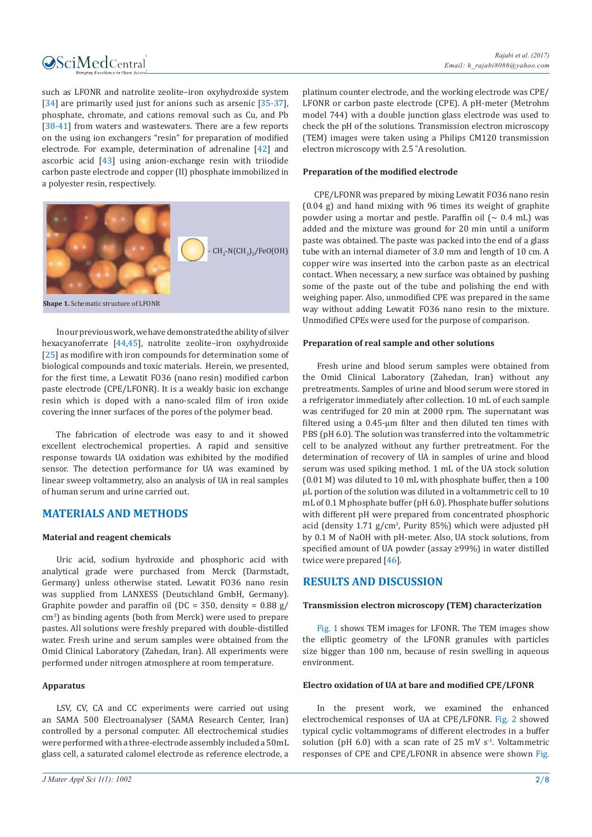

such as LFONR and natrolite zeolite–iron oxyhydroxide system [34] are primarily used just for anions such as arsenic [35-37], phosphate, chromate, and cations removal such as Cu, and Pb [38-41] from waters and wastewaters. There are a few reports on the using ion exchangers "resin" for preparation of modified electrode. For example, determination of adrenaline [42] and ascorbic acid [43] using anion-exchange resin with triiodide carbon paste electrode and copper (II) phosphate immobilized in a polyester resin, respectively.



**Shape 1.** Schematic structure of LFONR

In our previous work, we have demonstrated the ability of silver hexacyanoferrate [44,45], natrolite zeolite–iron oxyhydroxide [25] as modifire with iron compounds for determination some of biological compounds and toxic materials. Herein, we presented, for the first time, a Lewatit FO36 (nano resin) modified carbon paste electrode (CPE/LFONR). It is a weakly basic ion exchange resin which is doped with a nano-scaled film of iron oxide covering the inner surfaces of the pores of the polymer bead.

The fabrication of electrode was easy to and it showed excellent electrochemical properties. A rapid and sensitive response towards UA oxidation was exhibited by the modified sensor. The detection performance for UA was examined by linear sweep voltammetry, also an analysis of UA in real samples of human serum and urine carried out.

# **MATERIALS AND METHODS**

#### **Material and reagent chemicals**

Uric acid, sodium hydroxide and phosphoric acid with analytical grade were purchased from Merck (Darmstadt, Germany) unless otherwise stated. Lewatit FO36 nano resin was supplied from LANXESS (Deutschland GmbH, Germany). Graphite powder and paraffin oil ( $DC = 350$ , density = 0.88 g/ cm<sup>3</sup>) as binding agents (both from Merck) were used to prepare pastes. All solutions were freshly prepared with double-distilled water. Fresh urine and serum samples were obtained from the Omid Clinical Laboratory (Zahedan, Iran). All experiments were performed under nitrogen atmosphere at room temperature.

## **Apparatus**

LSV, CV, CA and CC experiments were carried out using an SAMA 500 Electroanalyser (SAMA Research Center, Iran) controlled by a personal computer. All electrochemical studies were performed with a three-electrode assembly included a 50mL glass cell, a saturated calomel electrode as reference electrode, a

platinum counter electrode, and the working electrode was CPE/ LFONR or carbon paste electrode (CPE). A pH-meter (Metrohm model 744) with a double junction glass electrode was used to check the pH of the solutions. Transmission electron microscopy (TEM) images were taken using a Philips CM120 transmission electron microscopy with 2.5 ˚A resolution.

#### **Preparation of the modified electrode**

 CPE/LFONR was prepared by mixing Lewatit FO36 nano resin (0.04 g) and hand mixing with 96 times its weight of graphite powder using a mortar and pestle. Paraffin oil  $(\sim 0.4 \text{ mL})$  was added and the mixture was ground for 20 min until a uniform paste was obtained. The paste was packed into the end of a glass tube with an internal diameter of 3.0 mm and length of 10 cm. A copper wire was inserted into the carbon paste as an electrical contact. When necessary, a new surface was obtained by pushing some of the paste out of the tube and polishing the end with weighing paper. Also, unmodified CPE was prepared in the same way without adding Lewatit FO36 nano resin to the mixture. Unmodified CPEs were used for the purpose of comparison.

#### **Preparation of real sample and other solutions**

Fresh urine and blood serum samples were obtained from the Omid Clinical Laboratory (Zahedan, Iran) without any pretreatments. Samples of urine and blood serum were stored in a refrigerator immediately after collection. 10 mL of each sample was centrifuged for 20 min at 2000 rpm. The supernatant was filtered using a 0.45-μm filter and then diluted ten times with PBS (pH 6.0). The solution was transferred into the voltammetric cell to be analyzed without any further pretreatment. For the determination of recovery of UA in samples of urine and blood serum was used spiking method. 1 mL of the UA stock solution (0.01 M) was diluted to 10 mL with phosphate buffer, then a 100 µL portion of the solution was diluted in a voltammetric cell to 10 mL of 0.1 M phosphate buffer (pH 6.0). Phosphate buffer solutions with different pH were prepared from concentrated phosphoric acid (density  $1.71$  g/cm<sup>3</sup>, Purity 85%) which were adjusted pH by 0.1 M of NaOH with pH-meter. Also, UA stock solutions, from specified amount of UA powder (assay ≥99%) in water distilled twice were prepared [46].

# **RESULTS AND DISCUSSION**

#### **Transmission electron microscopy (TEM) characterization**

Fig. 1 shows TEM images for LFONR. The TEM images show the elliptic geometry of the LFONR granules with particles size bigger than 100 nm, because of resin swelling in aqueous environment.

#### **Electro oxidation of UA at bare and modified CPE/LFONR**

In the present work, we examined the enhanced electrochemical responses of UA at CPE/LFONR. Fig. 2 showed typical cyclic voltammograms of different electrodes in a buffer solution (pH 6.0) with a scan rate of 25 mV  $s<sup>-1</sup>$ . Voltammetric responses of CPE and CPE/LFONR in absence were shown Fig.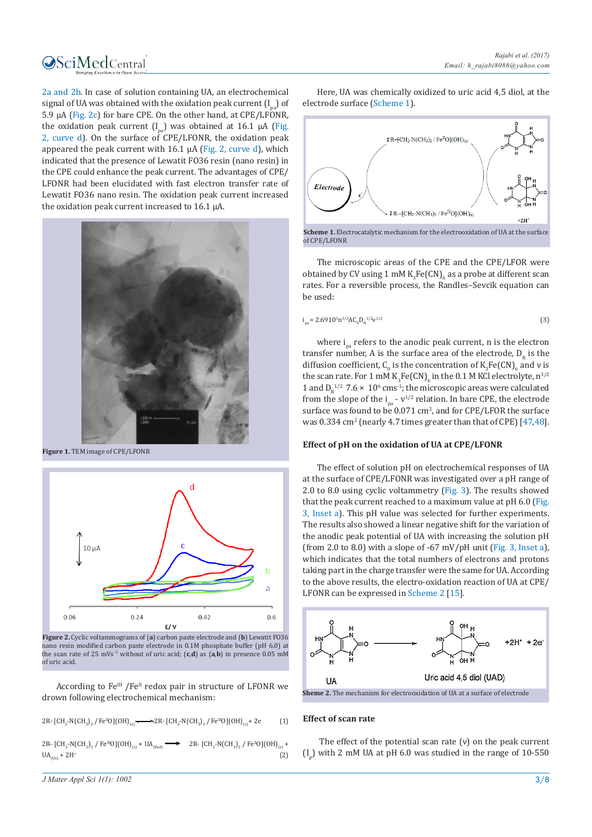

2a and 2b. In case of solution containing UA, an electrochemical signal of UA was obtained with the oxidation peak current  $(I_n)$  of 5.9 μA (Fig. 2c) for bare CPE. On the other hand, at CPE/LFONR, the oxidation peak current  $[I_{n3}]$  was obtained at 16.1 μA (Fig. 2, curve d). On the surface of CPE/LFONR, the oxidation peak appeared the peak current with 16.1 μA (Fig. 2, curve d), which indicated that the presence of Lewatit FO36 resin (nano resin) in the CPE could enhance the peak current. The advantages of CPE/ LFONR had been elucidated with fast electron transfer rate of Lewatit FO36 nano resin. The oxidation peak current increased the oxidation peak current increased to 16.1 μA.



**Figure 1.** TEM image of CPE/LFONR



**Figure 2.** Cyclic voltammograms of (**a**) carbon paste electrode and (**b**) Lewatit FO36 nano resin modified carbon paste electrode in 0.1M phosphate buffer (pH 6.0) at the scan rate of 25 mVs−1 without of uric acid; (**c**,**d**) as (**a**,**b**) in presence 0.05 mM of uric acid.

According to Fe<sup>III</sup> /Fe<sup>II</sup> redox pair in structure of LFONR we drown following electrochemical mechanism:

2R-  $[CH_2-N(CH_3)_2$  / Fe<sup>n</sup>O](OH)<sub>(s)</sub>  $\longrightarrow 2R$ -  $[CH_2-N(CH_3)_2$  / Fe<sup>no</sup>O](OH)<sub>(s)</sub> + 2e (1)

 $2R - [CH_2-N(CH_3)_2]$  Fe<sup>nt</sup>O](OH)<sub>(s)</sub> + UA<sub>(Red)</sub>  $\longrightarrow$  2R- [CH<sub>2</sub>-N(CH<sub>3</sub>)<sub>2</sub> / Fe<sup>n</sup>O](OH)<sub>(s)</sub> +  $UA_{(0x)} + 2H^+$ (2)

Here, UA was chemically oxidized to uric acid 4,5 diol, at the electrode surface (Scheme 1).



The microscopic areas of the CPE and the CPE/LFOR were obtained by CV using 1 mM  $K_3$ Fe $(CN)_6$  as a probe at different scan rates. For a reversible process, the Randles–Sevcik equation can

$$
i_{pa} = 2.6910^{5}n^{3/2}AC_{0}D_{R}^{1/2}v^{1/2}
$$
 (3)

where  $i_{n}$  refers to the anodic peak current, n is the electron transfer number, A is the surface area of the electrode,  $D<sub>p</sub>$  is the diffusion coefficient,  $C_0$  is the concentration of  $K_3Fe(CN)_{6}$  and v is the scan rate. For 1 mM  $K_3$ Fe(CN)<sub>6</sub> in the 0.1 M KCl electrolyte, n<sup>3/2</sup> 1 and  $D_R^{-1/2}$  7.6  $\times$  10<sup>6</sup> cms<sup>-1</sup>; the microscopic areas were calculated from the slope of the  $i_{pa}$  -  $v^{1/2}$  relation. In bare CPE, the electrode surface was found to be  $0.071 \text{ cm}^2$ , and for CPE/LFOR the surface was  $0.334 \text{ cm}^2$  (nearly 4.7 times greater than that of CPE) [47,48].

#### **Effect of pH on the oxidation of UA at CPE/LFONR**

The effect of solution pH on electrochemical responses of UA at the surface of CPE/LFONR was investigated over a pH range of 2.0 to 8.0 using cyclic voltammetry (Fig. 3). The results showed that the peak current reached to a maximum value at pH 6.0 (Fig. 3, Inset a). This pH value was selected for further experiments. The results also showed a linear negative shift for the variation of the anodic peak potential of UA with increasing the solution pH (from 2.0 to 8.0) with a slope of  $-67$  mV/pH unit (Fig. 3, Inset a), which indicates that the total numbers of electrons and protons taking part in the charge transfer were the same for UA. According to the above results, the electro-oxidation reaction of UA at CPE/ LFONR can be expressed in Scheme 2 [15].



#### **Effect of scan rate**

be used:

The effect of the potential scan rate  $(v)$  on the peak current  $\left(I_{\text{p}}\right)$  with 2 mM UA at pH 6.0 was studied in the range of 10-550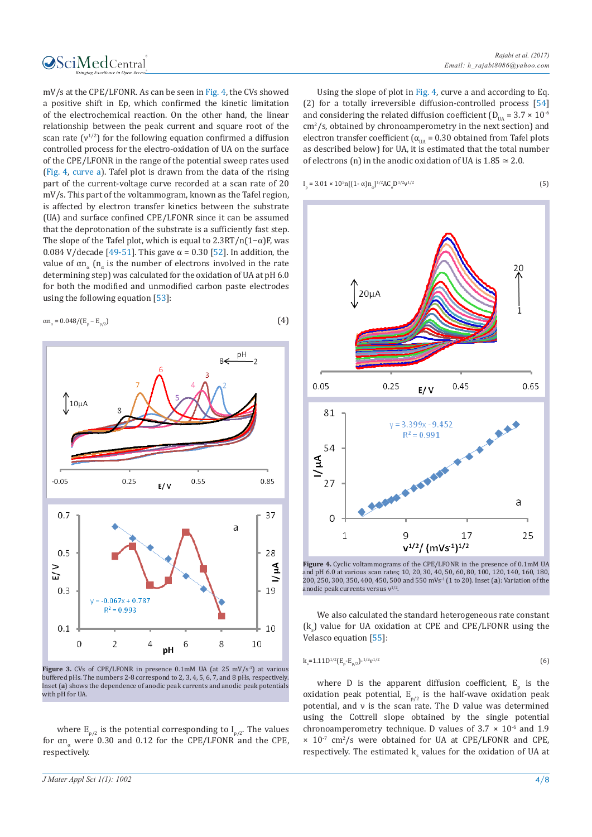

mV/s at the CPE/LFONR. As can be seen in Fig. 4, the CVs showed a positive shift in Ep, which confirmed the kinetic limitation of the electrochemical reaction. On the other hand, the linear relationship between the peak current and square root of the scan rate  $(v^{1/2})$  for the following equation confirmed a diffusion controlled process for the electro-oxidation of UA on the surface of the CPE/LFONR in the range of the potential sweep rates used (Fig. 4, curve a). Tafel plot is drawn from the data of the rising part of the current-voltage curve recorded at a scan rate of 20 mV/s. This part of the voltammogram, known as the Tafel region, is affected by electron transfer kinetics between the substrate (UA) and surface confined CPE/LFONR since it can be assumed that the deprotonation of the substrate is a sufficiently fast step. The slope of the Tafel plot, which is equal to  $2.3RT/n(1-\alpha)F$ , was 0.084 V/decade [49-51]. This gave  $\alpha$  = 0.30 [52]. In addition, the value of  $αn_α$  (n<sub>α</sub> is the number of electrons involved in the rate determining step) was calculated for the oxidation of UA at pH 6.0 for both the modified and unmodified carbon paste electrodes using the following equation [53]:

$$
\alpha n_{\alpha} = 0.048 / (E_{p} - E_{p/2})
$$
 (4)



Figure 3. CVs of CPE/LFONR in presence 0.1mM UA (at 25 mV/s<sup>-1</sup>) at various buffered pHs. The numbers 2-8 correspond to 2, 3, 4, 5, 6, 7, and 8 pHs, respectively. Inset (**a**) shows the dependence of anodic peak currents and anodic peak potentials with pH for UA.

where  $E_{p/2}$  is the potential corresponding to  $I_{p/2}$ . The values for  $\alpha n_{\alpha}$  were 0.30 and 0.12 for the CPE/LFONR and the CPE respectively.

Using the slope of plot in Fig. 4, curve a and according to Eq. (2) for a totally irreversible diffusion-controlled process [54] and considering the related diffusion coefficient ( $D_{\text{II}} = 3.7 \times 10^{-6}$  $\text{cm}^2\text{/s}$ , obtained by chronoamperometry in the next section) and electron transfer coefficient ( $\alpha_{\text{IIA}}$  = 0.30 obtained from Tafel plots as described below) for UA, it is estimated that the total number of electrons (n) in the anodic oxidation of UA is  $1.85 \approx 2.0$ .

$$
I_p = 3.01 \times 10^5 n [(1 - \alpha) n_a]^{1/2} A C_o D^{1/2} v^{1/2}
$$
\n(5)

p



**Figure 4.** Cyclic voltammograms of the CPE/LFONR in the presence of 0.1mM UA and pH 6.0 at various scan rates; 10, 20, 30, 40, 50, 60, 80, 100, 120, 140, 160, 180, 200, 250, 300, 350, 400, 450, 500 and 550 mVs-1 (1 to 20). Inset (**a**): Variation of the anodic peak currents versus  $v^{1/2}$ 

We also calculated the standard heterogeneous rate constant  $(k<sub>s</sub>)$  value for UA oxidation at CPE and CPE/LFONR using the Velasco equation [55]:

$$
k_s = 1.11D^{1/2} (E_p - E_{p/2})^{-1/2} \nu^{1/2}
$$
 (6)

where D is the apparent diffusion coefficient,  $E_p$  is the oxidation peak potential,  $E_{p/2}$  is the half-wave oxidation peak potential, and ν is the scan rate. The D value was determined using the Cottrell slope obtained by the single potential chronoamperometry technique. D values of  $3.7 \times 10^{-6}$  and 1.9  $\times$  10<sup>-7</sup> cm<sup>2</sup>/s were obtained for UA at CPE/LFONR and CPE, respectively. The estimated k<sub>s</sub> values for the oxidation of UA at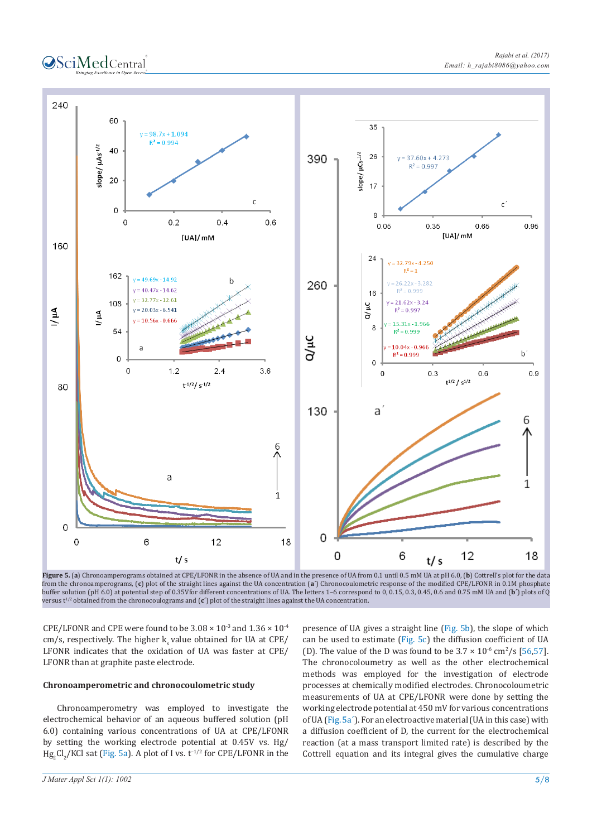



**Figure 5.** (**a**) Chronoamperograms obtained at CPE/LFONR in the absence of UA and in the presence of UA from 0.1 until 0.5 mM UA at pH 6.0, (**b**) Cottrell's plot for the data from the chronoamperograms, (**c**) plot of the straight lines against the UA concentration (**a´**) Chronocoulometric response of the modified CPE/LFONR in 0.1M phosphate buffer solution (pH 6.0) at potential step of 0.35Vfor different concentrations of UA. The letters 1–6 correspond to 0, 0.15, 0.3, 0.45, 0.6 and 0.75 mM UA and (**b´**) plots of Q versus t1/2 obtained from the chronocoulograms and (**c´**) plot of the straight lines against the UA concentration.

CPE/LFONR and CPE were found to be  $3.08 \times 10^{-3}$  and  $1.36 \times 10^{-4}$  $cm/s$ , respectively. The higher k value obtained for UA at CPE/ LFONR indicates that the oxidation of UA was faster at CPE/ LFONR than at graphite paste electrode.

#### **Chronoamperometric and chronocoulometric study**

Chronoamperometry was employed to investigate the electrochemical behavior of an aqueous buffered solution (pH 6.0) containing various concentrations of UA at CPE/LFONR by setting the working electrode potential at 0.45V vs. Hg/  $Hg_2Cl_2/KCl$  sat (Fig. 5a). A plot of I vs. t<sup>-1/2</sup> for CPE/LFONR in the

presence of UA gives a straight line (Fig. 5b), the slope of which can be used to estimate (Fig. 5c) the diffusion coefficient of UA (D). The value of the D was found to be  $3.7 \times 10^{-6}$  cm<sup>2</sup>/s [56,57]. The chronocoloumetry as well as the other electrochemical methods was employed for the investigation of electrode processes at chemically modified electrodes. Chronocoloumetric measurements of UA at CPE/LFONR were done by setting the working electrode potential at 450 mV for various concentrations of UA (Fig. 5a´). For an electroactive material (UA in this case) with a diffusion coefficient of D, the current for the electrochemical reaction (at a mass transport limited rate) is described by the Cottrell equation and its integral gives the cumulative charge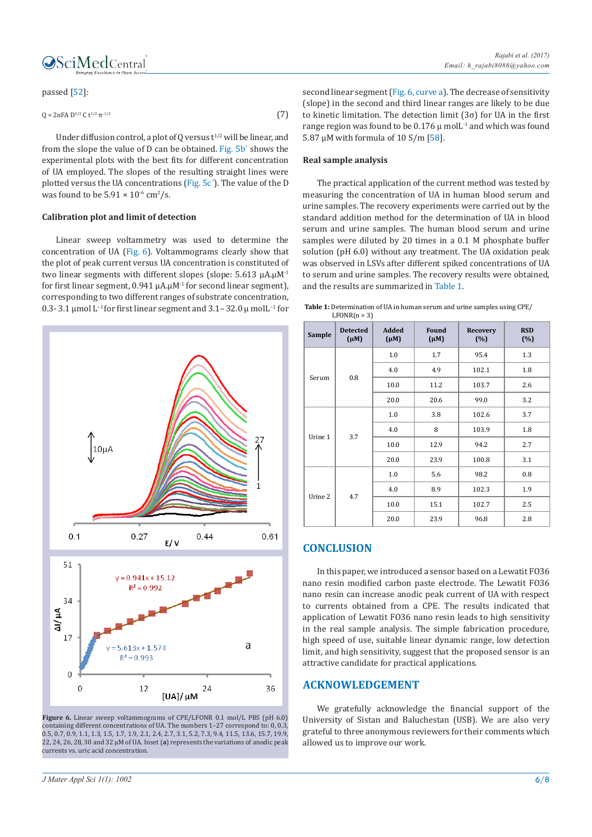

#### passed [52]:

$$
Q = 2nFA D^{1/2} C t^{1/2} \pi^{1/2}
$$
 (7)

Under diffusion control, a plot of O versus  $t^{1/2}$  will be linear, and from the slope the value of D can be obtained. Fig. 5b´ shows the experimental plots with the best fits for different concentration of UA employed. The slopes of the resulting straight lines were plotted versus the UA concentrations (Fig. 5c´). The value of the D was found to be  $5.91 \times 10^{-6}$  cm<sup>2</sup>/s.

#### **Calibration plot and limit of detection**

Linear sweep voltammetry was used to determine the concentration of UA (Fig. 6). Voltammograms clearly show that the plot of peak current versus UA concentration is constituted of two linear segments with different slopes (slope: 5.613 µA.µM<sup>-1</sup> for first linear segment,  $0.941 \mu A \mu M^{-1}$  for second linear segment), corresponding to two different ranges of substrate concentration, 0.3- 3.1 µmol L−1 for first linear segment and 3.1– 32.0 µ molL−1 for



**Figure 6.** Linear sweep voltammograms of CPE/LFONR 0.1 mol/L PBS (pH 6.0) containing different concentrations of UA. The numbers 1–27 correspond to: 0, 0.3, 0.5, 0.7, 0.9, 1.1, 1.3, 1.5, 1.7, 1.9, 2.1, 2.4, 2.7, 3.1, 5.2, 7.3, 9.4, 11.5, 13.6, 15.7, 19.9, 22, 24, 26, 28, 30 and 32 μM of UA. Inset (**a**) represents the variations of anodic peak currents vs. uric acid concentration.

second linear segment (Fig. 6, curve a). The decrease of sensitivity (slope) in the second and third linear ranges are likely to be due to kinetic limitation. The detection limit  $(3\sigma)$  for UA in the first range region was found to be  $0.176 \mu$  mol $L<sup>1</sup>$  and which was found 5.87  $\mu$ M with formula of 10 S/m [58].

#### **Real sample analysis**

The practical application of the current method was tested by measuring the concentration of UA in human blood serum and urine samples. The recovery experiments were carried out by the standard addition method for the determination of UA in blood serum and urine samples. The human blood serum and urine samples were diluted by 20 times in a 0.1 M phosphate buffer solution (pH 6.0) without any treatment. The UA oxidation peak was observed in LSVs after different spiked concentrations of UA to serum and urine samples. The recovery results were obtained, and the results are summarized in Table 1.

**Table 1:** Determination of UA in human serum and urine samples using CPE/  $LFONR(n = 3)$ 

| Sample  | <b>Detected</b><br>$(\mu M)$ | <b>Added</b><br>$(\mu M)$ | Found<br>$(\mu M)$ | Recovery<br>(%) | <b>RSD</b><br>(%) |
|---------|------------------------------|---------------------------|--------------------|-----------------|-------------------|
| Serum   | 0.8                          | 1.0                       | 1.7                | 95.4            | 1.3               |
|         |                              | 4.0                       | 4.9                | 102.1           | 1.8               |
|         |                              | 10.0                      | 11.2               | 103.7           | 2.6               |
|         |                              | 20.0                      | 20.6               | 99.0            | 3.2               |
| Urine 1 | 3.7                          | 1.0                       | 3.8                | 102.6           | 3.7               |
|         |                              | 4.0                       | 8                  | 103.9           | 1.8               |
|         |                              | 10.0                      | 12.9               | 94.2            | 2.7               |
|         |                              | 20.0                      | 23.9               | 100.8           | 3.1               |
| Urine 2 | 4.7                          | 1.0                       | 5.6                | 98.2            | 0.8               |
|         |                              | 4.0                       | 8.9                | 102.3           | 1.9               |
|         |                              | 10.0                      | 15.1               | 102.7           | 2.5               |
|         |                              | 20.0                      | 23.9               | 96.8            | 2.8               |

## **CONCLUSION**

In this paper, we introduced a sensor based on a Lewatit FO36 nano resin modified carbon paste electrode. The Lewatit FO36 nano resin can increase anodic peak current of UA with respect to currents obtained from a CPE. The results indicated that application of Lewatit FO36 nano resin leads to high sensitivity in the real sample analysis. The simple fabrication procedure, high speed of use, suitable linear dynamic range, low detection limit, and high sensitivity, suggest that the proposed sensor is an attractive candidate for practical applications.

#### **ACKNOWLEDGEMENT**

We gratefully acknowledge the financial support of the University of Sistan and Baluchestan (USB). We are also very grateful to three anonymous reviewers for their comments which allowed us to improve our work.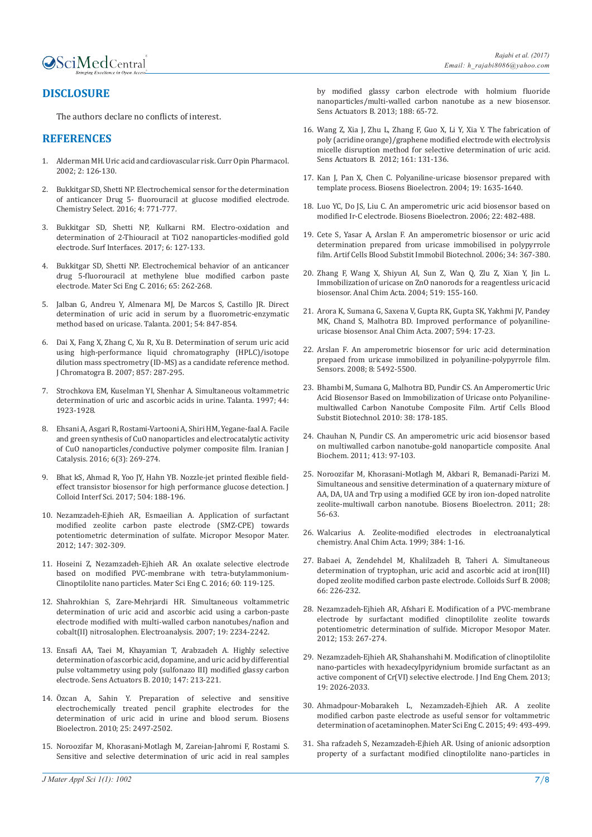

# **DISCLOSURE**

The authors declare no conflicts of interest.

# **REFERENCES**

- 1. [Alderman MH. Uric acid and cardiovascular risk. Curr Opin Pharmacol.](https://doi.org/10.1016/S1471-4892(02)00143-1)  [2002; 2: 126-130.](https://doi.org/10.1016/S1471-4892(02)00143-1)
- 2. [Bukkitgar SD, Shetti NP. Electrochemical sensor for the determination](https://doi.org/10.1002/slct.201600197)  [of anticancer Drug 5- fluorouracil at glucose modified electrode.](https://doi.org/10.1002/slct.201600197)  [Chemistry Select. 2016; 4: 771-777.](https://doi.org/10.1002/slct.201600197)
- 3. [Bukkitgar SD, Shetti NP, Kulkarni RM. Electro-oxidation and](https://doi.org/10.1016/j.surfin.2017.01.003)  [determination of 2-Thiouracil at TiO2 nanoparticles-modified gold](https://doi.org/10.1016/j.surfin.2017.01.003)  [electrode. Surf Interfaces. 2017; 6: 127-133.](https://doi.org/10.1016/j.surfin.2017.01.003)
- 4. [Bukkitgar SD, Shetti NP. Electrochemical behavior of an anticancer](https://doi.org/10.1016/j.msec.2016.04.045)  [drug 5-fluorouracil at methylene blue modified carbon paste](https://doi.org/10.1016/j.msec.2016.04.045)  [electrode. Mater Sci Eng C. 2016; 65: 262-268.](https://doi.org/10.1016/j.msec.2016.04.045)
- 5. [Jalban G, Andreu Y, Almenara MJ, De Marcos S, Castillo JR. Direct](https://doi.org/10.1016/S0039-9140(01)00335-6)  [determination of uric acid in serum by a fluorometric-enzymatic](https://doi.org/10.1016/S0039-9140(01)00335-6)  [method based on uricase. Talanta. 2001; 54: 847-854.](https://doi.org/10.1016/S0039-9140(01)00335-6)
- 6. [Dai X, Fang X, Zhang C, Xu R, Xu B. Determination of serum uric acid](https://doi.org/10.1016/j.jchromb.2007.07.035)  [using high-performance liquid chromatography \(HPLC\)/isotope](https://doi.org/10.1016/j.jchromb.2007.07.035)  [dilution mass spectrometry \(ID-MS\) as a candidate reference method.](https://doi.org/10.1016/j.jchromb.2007.07.035)  [J Chromatogra B. 2007; 857: 287-295.](https://doi.org/10.1016/j.jchromb.2007.07.035)
- 7. [Strochkova EM, Kuselman YI, Shenhar A. Simultaneous voltammetric](https://doi.org/10.1016/S0039-9140(97)00087-8)  [determination of uric and ascorbic acids in urine. Talanta. 1997; 44:](https://doi.org/10.1016/S0039-9140(97)00087-8)  [1923-1928.](https://doi.org/10.1016/S0039-9140(97)00087-8)
- 8. [Ehsani A, Asgari R, Rostami-Vartooni A, Shiri HM, Yegane-faal A. Facile](http://ijc.iaush.ac.ir/article_15418.html)  [and green synthesis of CuO nanoparticles and electrocatalytic activity](http://ijc.iaush.ac.ir/article_15418.html)  [of CuO nanoparticles/conductive polymer composite film. Iranian J](http://ijc.iaush.ac.ir/article_15418.html)  [Catalysis. 2016; 6\(3\): 269-274.](http://ijc.iaush.ac.ir/article_15418.html)
- 9. [Bhat kS, Ahmad R, Yoo JY, Hahn YB. Nozzle-jet printed flexible field](https://doi.org/10.1016/j.jcis.2017.07.037)[effect transistor biosensor for high performance glucose detection. J](https://doi.org/10.1016/j.jcis.2017.07.037)  [Colloid Interf Sci. 2017; 504: 188-196.](https://doi.org/10.1016/j.jcis.2017.07.037)
- 10. [Nezamzadeh-Ejhieh AR, Esmaeilian A. Application of surfactant](https://doi.org/10.1016/j.micromeso.2011.06.026)  [modified zeolite carbon paste electrode \(SMZ-CPE\) towards](https://doi.org/10.1016/j.micromeso.2011.06.026)  [potentiometric determination of sulfate. Micropor Mesopor Mater.](https://doi.org/10.1016/j.micromeso.2011.06.026)  [2012; 147: 302-309.](https://doi.org/10.1016/j.micromeso.2011.06.026)
- 11. [Hoseini Z, Nezamzadeh-Ejhieh AR. An oxalate selective electrode](https://doi.org/10.1016/j.msec.2015.11.016)  [based on modified PVC-membrane with tetra-butylammonium-](https://doi.org/10.1016/j.msec.2015.11.016)[Clinoptilolite nano particles. Mater Sci Eng C. 2016; 60: 119-125.](https://doi.org/10.1016/j.msec.2015.11.016)
- 12. [Shahrokhian S, Zare-Mehrjardi HR. Simultaneous voltammetric](https://doi.org/10.1002/elan.200703974)  [determination of uric acid and ascorbic acid using a carbon-paste](https://doi.org/10.1002/elan.200703974)  [electrode modified with multi-walled carbon nanotubes/nafion and](https://doi.org/10.1002/elan.200703974)  [cobalt\(II\) nitrosalophen. Electroanalysis. 2007; 19: 2234-2242.](https://doi.org/10.1002/elan.200703974)
- 13. [Ensafi AA, Taei M, Khayamian T, Arabzadeh A. Highly selective](https://doi.org/10.1016/j.snb.2010.02.048)  [determination of ascorbic acid, dopamine, and uric acid by differential](https://doi.org/10.1016/j.snb.2010.02.048)  [pulse voltammetry using poly \(sulfonazo III\) modified glassy carbon](https://doi.org/10.1016/j.snb.2010.02.048)  [electrode. Sens Actuators B. 2010; 147: 213-221.](https://doi.org/10.1016/j.snb.2010.02.048)
- 14. [Özcan A, Sahin Y. Preparation of selective and sensitive](https://doi.org/10.1016/j.bios.2010.04.020)  [electrochemically treated pencil graphite electrodes for the](https://doi.org/10.1016/j.bios.2010.04.020)  [determination of uric acid in urine and blood serum. Biosens](https://doi.org/10.1016/j.bios.2010.04.020)  [Bioelectron. 2010; 25: 2497-2502.](https://doi.org/10.1016/j.bios.2010.04.020)
- 15. [Noroozifar M, Khorasani-Motlagh M, Zareian-Jahromi F, Rostami S.](https://doi.org/10.1016/j.snb.2013.06.074)  [Sensitive and selective determination of uric acid in real samples](https://doi.org/10.1016/j.snb.2013.06.074)

[by modified glassy carbon electrode with holmium fluoride](https://doi.org/10.1016/j.snb.2013.06.074) [nanoparticles/multi-walled carbon nanotube as a new biosensor.](https://doi.org/10.1016/j.snb.2013.06.074) [Sens Actuators B. 2013; 188: 65-72](https://doi.org/10.1016/j.snb.2013.06.074).

- 16. [Wang Z, Xia J, Zhu L, Zhang F, Guo X, Li Y, Xia Y. The fabrication of](https://doi.org/10.1016/j.snb.2011.09.082) [poly \(acridine orange\)/graphene modified electrode with electrolysis](https://doi.org/10.1016/j.snb.2011.09.082) [micelle disruption method for selective determination of uric acid.](https://doi.org/10.1016/j.snb.2011.09.082) [Sens Actuators B. 2012; 161: 131-136.](https://doi.org/10.1016/j.snb.2011.09.082)
- 17. [Kan J, Pan X, Chen C. Polyaniline-uricase biosensor prepared with](https://doi.org/10.1016/j.bios.2003.12.032) [template process. Biosens Bioelectron. 2004; 19: 1635-1640.](https://doi.org/10.1016/j.bios.2003.12.032)
- 18. [Luo YC, Do JS, Liu C. An amperometric uric acid biosensor based on](https://doi.org/10.1016/j.bios.2006.07.013) [modified Ir-C electrode. Biosens Bioelectron. 2006; 22: 482-488.](https://doi.org/10.1016/j.bios.2006.07.013)
- 19. [Cete S, Yasar A, Arslan F. An amperometric biosensor or uric acid](http://dx.doi.org/10.1080/10731190600684116) [determination prepared from uricase immobilised in polypyrrole](http://dx.doi.org/10.1080/10731190600684116) [film. Artif Cells Blood Substit Immobil Biotechnol. 2006; 34: 367-380.](http://dx.doi.org/10.1080/10731190600684116)
- 20. [Zhang F, Wang X, Shiyun AI, Sun Z, Wan Q, Zlu Z, Xian Y, Jin L.](https://doi.org/10.1016/j.aca.2004.05.070) [Immobilization of uricase on ZnO nanorods for a reagentless uric acid](https://doi.org/10.1016/j.aca.2004.05.070) [biosensor. Anal Chim Acta. 2004; 519: 155-160.](https://doi.org/10.1016/j.aca.2004.05.070)
- 21. [Arora K, Sumana G, Saxena V, Gupta RK, Gupta SK, Yakhmi JV, Pandey](https://doi.org/10.1016/j.aca.2007.04.068) [MK, Chand S, Malhotra BD. Improved performance of polyaniline](https://doi.org/10.1016/j.aca.2007.04.068)[uricase biosensor. Anal Chim Acta. 2007; 594: 17-23.](https://doi.org/10.1016/j.aca.2007.04.068)
- 22. [Arslan F. An amperometric biosensor for uric acid determination](http://www.mdpi.com/1424-8220/8/9/5492) [prepaed from uricase immobilized in polyaniline-polypyrrole film.](http://www.mdpi.com/1424-8220/8/9/5492) [Sensors. 2008; 8: 5492-5500.](http://www.mdpi.com/1424-8220/8/9/5492)
- 23. [Bhambi M, Sumana G, Malhotra BD, Pundir CS. An Amperomertic Uric](http://dx.doi.org/10.3109/10731191003716344) [Acid Biosensor Based on Immobilization of Uricase onto Polyaniline](http://dx.doi.org/10.3109/10731191003716344)[multiwalled Carbon Nanotube Composite Film. Artif Cells Blood](http://dx.doi.org/10.3109/10731191003716344) [Substit Biotechnol. 2010: 38: 178-185.](http://dx.doi.org/10.3109/10731191003716344)
- 24. [Chauhan N, Pundir CS. An amperometric uric acid biosensor based](https://www.ncbi.nlm.nih.gov/pubmed/21315682) [on multiwalled carbon nanotube-gold nanoparticle composite. Anal](https://www.ncbi.nlm.nih.gov/pubmed/21315682) [Biochem. 2011; 413: 97-103.](https://www.ncbi.nlm.nih.gov/pubmed/21315682)
- 25. [Noroozifar M, Khorasani-Motlagh M, Akbari R, Bemanadi-Parizi M.](https://doi.org/10.1016/j.bios.2011.06.042) [Simultaneous and sensitive determination of a quaternary mixture of](https://doi.org/10.1016/j.bios.2011.06.042) [AA, DA, UA and Trp using a modified GCE by iron ion-doped natrolite](https://doi.org/10.1016/j.bios.2011.06.042) [zeolite-multiwall carbon nanotube. Biosens Bioelectron. 2011; 28:](https://doi.org/10.1016/j.bios.2011.06.042) [56-63.](https://doi.org/10.1016/j.bios.2011.06.042)
- 26. [Walcarius A. Zeolite-modified electrodes in electroanalytical](https://doi.org/10.1016/S0003-2670(98)00849-6) [chemistry. Anal Chim Acta. 1999; 384: 1-16.](https://doi.org/10.1016/S0003-2670(98)00849-6)
- 27. [Babaei A, Zendehdel M, Khalilzadeh B, Taheri A. Simultaneous](https://doi.org/10.1016/j.colsurfb.2008.06.017) [determination of tryptophan, uric acid and ascorbic acid at iron\(III\)](https://doi.org/10.1016/j.colsurfb.2008.06.017) [doped zeolite modified carbon paste electrode. Colloids Surf B. 2008;](https://doi.org/10.1016/j.colsurfb.2008.06.017) [66: 226-232.](https://doi.org/10.1016/j.colsurfb.2008.06.017)
- 28. [Nezamzadeh-Ejhieh AR, Afshari E. Modification of a PVC-membrane](https://doi.org/10.1016/j.micromeso.2011.12.054) [electrode by surfactant modified clinoptilolite zeolite towards](https://doi.org/10.1016/j.micromeso.2011.12.054) [potentiometric determination of sulfide. Micropor Mesopor Mater.](https://doi.org/10.1016/j.micromeso.2011.12.054) [2012; 153: 267-274.](https://doi.org/10.1016/j.micromeso.2011.12.054)
- 29. [Nezamzadeh-Ejhieh AR, Shahanshahi M. Modification of clinoptilolite](https://doi.org/10.1016/j.jiec.2013.03.018) [nano-particles with hexadecylpyridynium bromide surfactant as an](https://doi.org/10.1016/j.jiec.2013.03.018) [active component of Cr\(VI\) selective electrode. J Ind Eng Chem. 2013;](https://doi.org/10.1016/j.jiec.2013.03.018) [19: 2026-2033.](https://doi.org/10.1016/j.jiec.2013.03.018)
- 30. [Ahmadpour-Mobarakeh L, Nezamzadeh-Ejhieh AR. A zeolite](https://doi.org/10.1016/j.msec.2015.01.028) [modified carbon paste electrode as useful sensor for voltammetric](https://doi.org/10.1016/j.msec.2015.01.028) [determination of acetaminophen. Mater Sci Eng C. 2015; 49: 493-499.](https://doi.org/10.1016/j.msec.2015.01.028)
- 31. [Sha rafzadeh S, Nezamzadeh-Ejhieh AR. Using of anionic adsorption](https://doi.org/10.1016/j.electacta.2015.09.164) [property of a surfactant modified clinoptilolite nano-particles in](https://doi.org/10.1016/j.electacta.2015.09.164)